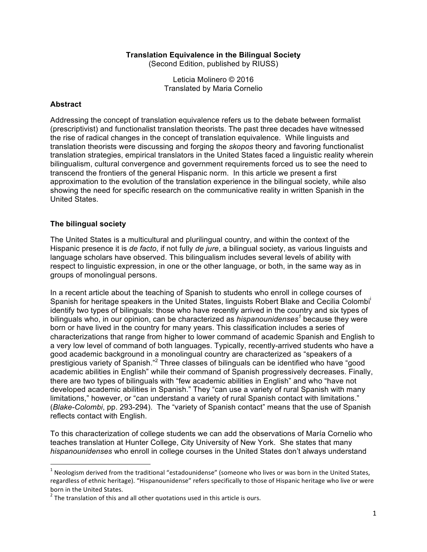#### **Translation Equivalence in the Bilingual Society**

(Second Edition, published by RIUSS)

Leticia Molinero © 2016 Translated by Maria Cornelio

#### **Abstract**

Addressing the concept of translation equivalence refers us to the debate between formalist (prescriptivist) and functionalist translation theorists. The past three decades have witnessed the rise of radical changes in the concept of translation equivalence. While linguists and translation theorists were discussing and forging the *skopos* theory and favoring functionalist translation strategies, empirical translators in the United States faced a linguistic reality wherein bilingualism, cultural convergence and government requirements forced us to see the need to transcend the frontiers of the general Hispanic norm. In this article we present a first approximation to the evolution of the translation experience in the bilingual society, while also showing the need for specific research on the communicative reality in written Spanish in the United States.

#### **The bilingual society**

<u> 1989 - Johann Barn, mars eta bat erroman erroman erroman erroman erroman erroman erroman erroman erroman err</u>

The United States is a multicultural and plurilingual country, and within the context of the Hispanic presence it is *de facto*, if not fully *de jure*, a bilingual society, as various linguists and language scholars have observed. This bilingualism includes several levels of ability with respect to linguistic expression, in one or the other language, or both, in the same way as in groups of monolingual persons.

In a recent article about the teaching of Spanish to students who enroll in college courses of Spanish for heritage speakers in the United States, linguists Robert Blake and Cecilia Colombi<sup>i</sup> identify two types of bilinguals: those who have recently arrived in the country and six types of bilinguals who, in our opinion, can be characterized as *hispanounidenses<sup>1</sup>* because they were born or have lived in the country for many years. This classification includes a series of characterizations that range from higher to lower command of academic Spanish and English to a very low level of command of both languages. Typically, recently-arrived students who have a good academic background in a monolingual country are characterized as "speakers of a prestigious variety of Spanish." <sup>2</sup> Three classes of bilinguals can be identified who have "good academic abilities in English" while their command of Spanish progressively decreases. Finally, there are two types of bilinguals with "few academic abilities in English" and who "have not developed academic abilities in Spanish." They "can use a variety of rural Spanish with many limitations," however, or "can understand a variety of rural Spanish contact with limitations." (*Blake-Colombi*, pp. 293-294). The "variety of Spanish contact" means that the use of Spanish reflects contact with English.

To this characterization of college students we can add the observations of María Cornelio who teaches translation at Hunter College, City University of New York. She states that many *hispanounidenses* who enroll in college courses in the United States don't always understand

 $1$  Neologism derived from the traditional "estadounidense" (someone who lives or was born in the United States, regardless of ethnic heritage). "Hispanounidense" refers specifically to those of Hispanic heritage who live or were born in the United States.<br>
<sup>2</sup> The translation of this and all other quotations used in this article is ours.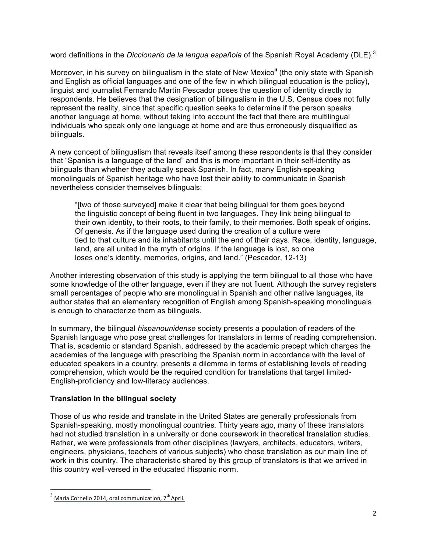word definitions in the *Diccionario de la lengua española* of the Spanish Royal Academy (DLE). 3

Moreover, in his survey on bilingualism in the state of New Mexico**ii** (the only state with Spanish and English as official languages and one of the few in which bilingual education is the policy), linguist and journalist Fernando Martín Pescador poses the question of identity directly to respondents. He believes that the designation of bilingualism in the U.S. Census does not fully represent the reality, since that specific question seeks to determine if the person speaks another language at home, without taking into account the fact that there are multilingual individuals who speak only one language at home and are thus erroneously disqualified as bilinguals.

A new concept of bilingualism that reveals itself among these respondents is that they consider that "Spanish is a language of the land" and this is more important in their self-identity as bilinguals than whether they actually speak Spanish. In fact, many English-speaking monolinguals of Spanish heritage who have lost their ability to communicate in Spanish nevertheless consider themselves bilinguals:

"[two of those surveyed] make it clear that being bilingual for them goes beyond the linguistic concept of being fluent in two languages. They link being bilingual to their own identity, to their roots, to their family, to their memories. Both speak of origins. Of genesis. As if the language used during the creation of a culture were tied to that culture and its inhabitants until the end of their days. Race, identity, language, land, are all united in the myth of origins. If the language is lost, so one loses one's identity, memories, origins, and land." (Pescador, 12-13)

Another interesting observation of this study is applying the term bilingual to all those who have some knowledge of the other language, even if they are not fluent. Although the survey registers small percentages of people who are monolingual in Spanish and other native languages, its author states that an elementary recognition of English among Spanish-speaking monolinguals is enough to characterize them as bilinguals.

In summary, the bilingual *hispanounidense* society presents a population of readers of the Spanish language who pose great challenges for translators in terms of reading comprehension. That is, academic or standard Spanish, addressed by the academic precept which charges the academies of the language with prescribing the Spanish norm in accordance with the level of educated speakers in a country, presents a dilemma in terms of establishing levels of reading comprehension, which would be the required condition for translations that target limited-English-proficiency and low-literacy audiences.

# **Translation in the bilingual society**

Those of us who reside and translate in the United States are generally professionals from Spanish-speaking, mostly monolingual countries*.* Thirty years ago, many of these translators had not studied translation in a university or done coursework in theoretical translation studies. Rather, we were professionals from other disciplines (lawyers, architects, educators, writers, engineers, physicians, teachers of various subjects) who chose translation as our main line of work in this country. The characteristic shared by this group of translators is that we arrived in this country well-versed in the educated Hispanic norm.

 

 $3$  María Cornelio 2014, oral communication,  $7^{\text{th}}$  April.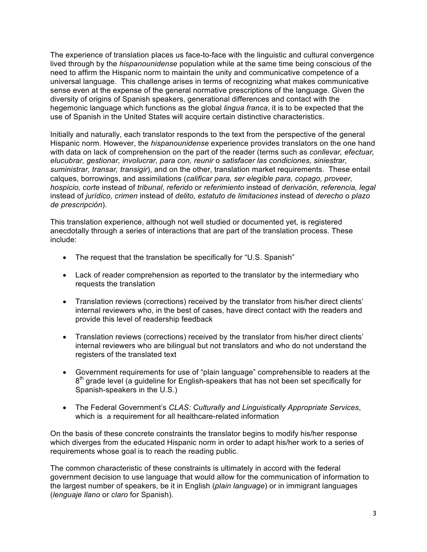The experience of translation places us face-to-face with the linguistic and cultural convergence lived through by the *hispanounidense* population while at the same time being conscious of the need to affirm the Hispanic norm to maintain the unity and communicative competence of a universal language. This challenge arises in terms of recognizing what makes communicative sense even at the expense of the general normative prescriptions of the language. Given the diversity of origins of Spanish speakers, generational differences and contact with the hegemonic language which functions as the global *lingua franca*, it is to be expected that the use of Spanish in the United States will acquire certain distinctive characteristics.

Initially and naturally, each translator responds to the text from the perspective of the general Hispanic norm. However, the *hispanounidense* experience provides translators on the one hand with data on lack of comprehension on the part of the reader (terms such as *conllevar, efectuar, elucubrar, gestionar, involucrar, para con, reunir* o *satisfacer las condiciones, siniestrar, suministrar, transar, transigir*), and on the other, translation market requirements. These entail calques, borrowings, and assimilations (*calificar para, ser elegible para, copago, proveer, hospicio, corte* instead of *tribunal*, *referido* or *referimiento* instead of *derivación*, *referencia, legal*  instead of *jurídico, crimen* instead of *delito, estatuto de limitaciones* instead of *derecho* o *plazo de prescripción*).

This translation experience, although not well studied or documented yet, is registered anecdotally through a series of interactions that are part of the translation process. These include:

- The request that the translation be specifically for "U.S. Spanish"
- Lack of reader comprehension as reported to the translator by the intermediary who requests the translation
- Translation reviews (corrections) received by the translator from his/her direct clients' internal reviewers who, in the best of cases, have direct contact with the readers and provide this level of readership feedback
- Translation reviews (corrections) received by the translator from his/her direct clients' internal reviewers who are bilingual but not translators and who do not understand the registers of the translated text
- Government requirements for use of "plain language" comprehensible to readers at the  $8<sup>th</sup>$  grade level (a guideline for English-speakers that has not been set specifically for Spanish-speakers in the U.S.)
- The Federal Government's *CLAS: Culturally and Linguistically Appropriate Services*, which is a requirement for all healthcare-related information

On the basis of these concrete constraints the translator begins to modify his/her response which diverges from the educated Hispanic norm in order to adapt his/her work to a series of requirements whose goal is to reach the reading public.

The common characteristic of these constraints is ultimately in accord with the federal government decision to use language that would allow for the communication of information to the largest number of speakers, be it in English (*plain language*) or in immigrant languages (*lenguaje llano* or *claro* for Spanish).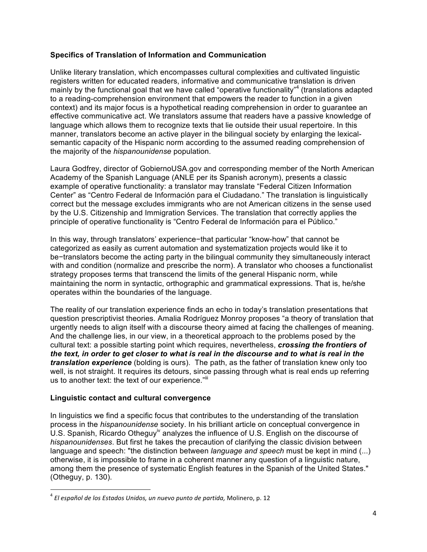### **Specifics of Translation of Information and Communication**

Unlike literary translation, which encompasses cultural complexities and cultivated linguistic registers written for educated readers, informative and communicative translation is driven mainly by the functional goal that we have called "operative functionality"<sup>4</sup> (translations adapted to a reading-comprehension environment that empowers the reader to function in a given context) and its major focus is a hypothetical reading comprehension in order to guarantee an effective communicative act. We translators assume that readers have a passive knowledge of language which allows them to recognize texts that lie outside their usual repertoire. In this manner, translators become an active player in the bilingual society by enlarging the lexicalsemantic capacity of the Hispanic norm according to the assumed reading comprehension of the majority of the *hispanounidense* population.

Laura Godfrey, director of GobiernoUSA.gov and corresponding member of the North American Academy of the Spanish Language (ANLE per its Spanish acronym), presents a classic example of operative functionality: a translator may translate "Federal Citizen Information Center" as "Centro Federal de Información para el Ciudadano." The translation is linguistically correct but the message excludes immigrants who are not American citizens in the sense used by the U.S. Citizenship and Immigration Services. The translation that correctly applies the principle of operative functionality is "Centro Federal de Información para el Público."

In this way, through translators' experience−that particular "know-how" that cannot be categorized as easily as current automation and systematization projects would like it to be−translators become the acting party in the bilingual community they simultaneously interact with and condition (normalize and prescribe the norm). A translator who chooses a functionalist strategy proposes terms that transcend the limits of the general Hispanic norm, while maintaining the norm in syntactic, orthographic and grammatical expressions. That is, he/she operates within the boundaries of the language.

The reality of our translation experience finds an echo in today's translation presentations that question prescriptivist theories. Amalia Rodríguez Monroy proposes "a theory of translation that urgently needs to align itself with a discourse theory aimed at facing the challenges of meaning. And the challenge lies, in our view, in a theoretical approach to the problems posed by the cultural text: a possible starting point which requires, nevertheless, *crossing the frontiers of the text, in order to get closer to what is real in the discourse and to what is real in the translation experience* (bolding is ours). The path, as the father of translation knew only too well, is not straight. It requires its detours, since passing through what is real ends up referring us to another text: the text of our experience."<sup>iii</sup>

### **Linguistic contact and cultural convergence**

 

In linguistics we find a specific focus that contributes to the understanding of the translation process in the *hispanounidense* society. In his brilliant article on conceptual convergence in U.S. Spanish, Ricardo Otheguy<sup>iv</sup> analyzes the influence of U.S. English on the discourse of *hispanounidenses*. But first he takes the precaution of clarifying the classic division between language and speech: "the distinction between *language and speech* must be kept in mind (...) otherwise, it is impossible to frame in a coherent manner any question of a linguistic nature, among them the presence of systematic English features in the Spanish of the United States." (Otheguy, p. 130).

<sup>&</sup>lt;sup>4</sup> El español de los Estados Unidos, un nuevo punto de partida, Molinero, p. 12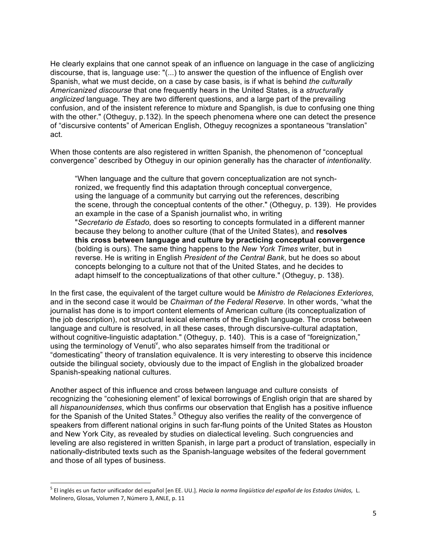He clearly explains that one cannot speak of an influence on language in the case of anglicizing discourse, that is, language use: "(...) to answer the question of the influence of English over Spanish, what we must decide, on a case by case basis, is if what is behind *the culturally Americanized discourse* that one frequently hears in the United States, is a *structurally anglicized* language*.* They are two different questions, and a large part of the prevailing confusion, and of the insistent reference to mixture and Spanglish, is due to confusing one thing with the other." (Otheguy, p.132). In the speech phenomena where one can detect the presence of "discursive contents" of American English, Otheguy recognizes a spontaneous "translation" act.

When those contents are also registered in written Spanish, the phenomenon of "conceptual convergence" described by Otheguy in our opinion generally has the character of *intentionality.* 

"When language and the culture that govern conceptualization are not synchronized, we frequently find this adaptation through conceptual convergence, using the language of a community but carrying out the references, describing the scene, through the conceptual contents of the other." (Otheguy, p. 139). He provides an example in the case of a Spanish journalist who, in writing "*Secretario de Estado,* does so resorting to concepts formulated in a different manner because they belong to another culture (that of the United States), and **resolves this cross between language and culture by practicing conceptual convergence** (bolding is ours). The same thing happens to the *New York Times* writer, but in reverse. He is writing in English *President of the Central Bank*, but he does so about concepts belonging to a culture not that of the United States, and he decides to adapt himself to the conceptualizations of that other culture." (Otheguy, p. 138).

In the first case, the equivalent of the target culture would be *Ministro de Relaciones Exteriores,*  and in the second case it would be *Chairman of the Federal Reserve.* In other words, "what the journalist has done is to import content elements of American culture (its conceptualization of the job description), not structural lexical elements of the English language. The cross between language and culture is resolved, in all these cases, through discursive-cultural adaptation, without cognitive-linguistic adaptation." (Otheguy, p. 140). This is a case of "foreignization," using the terminology of Venuti<sup>v</sup>, who also separates himself from the traditional or "domesticating" theory of translation equivalence. It is very interesting to observe this incidence outside the bilingual society, obviously due to the impact of English in the globalized broader Spanish-speaking national cultures.

Another aspect of this influence and cross between language and culture consists of recognizing the "cohesioning element" of lexical borrowings of English origin that are shared by all *hispanounidenses*, which thus confirms our observation that English has a positive influence for the Spanish of the United States.<sup>5</sup> Otheguy also verifies the reality of the convergence of speakers from different national origins in such far-flung points of the United States as Houston and New York City, as revealed by studies on dialectical leveling. Such congruencies and leveling are also registered in written Spanish, in large part a product of translation, especially in nationally-distributed texts such as the Spanish-language websites of the federal government and those of all types of business.

<sup>&</sup>lt;sup>5</sup> El inglés es un factor unificador del español [en EE. UU.]. *Hacia la norma lingüística del español de los Estados Unidos,* L. Molinero, Glosas, Volumen 7, Número 3, ANLE, p. 11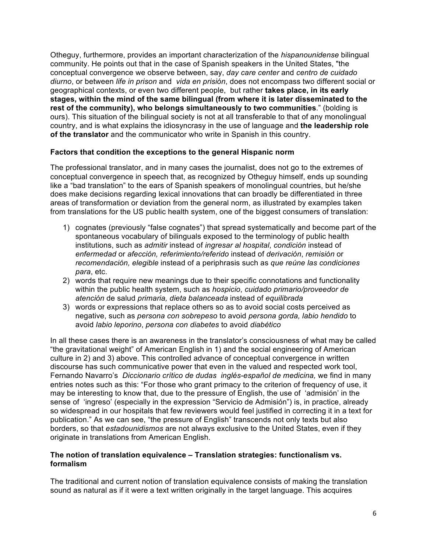Otheguy, furthermore, provides an important characterization of the *hispanounidense* bilingual community. He points out that in the case of Spanish speakers in the United States, "the conceptual convergence we observe between, say, *day care center* and *centro de cuidado diurno*, or between *life in prison* and *vida en prisión*, does not encompass two different social or geographical contexts, or even two different people, but rather **takes place, in its early stages, within the mind of the same bilingual (from where it is later disseminated to the rest of the community), who belongs simultaneously to two communities**." (bolding is ours). This situation of the bilingual society is not at all transferable to that of any monolingual country, and is what explains the idiosyncrasy in the use of language and **the leadership role of the translator** and the communicator who write in Spanish in this country.

#### **Factors that condition the exceptions to the general Hispanic norm**

The professional translator, and in many cases the journalist, does not go to the extremes of conceptual convergence in speech that, as recognized by Otheguy himself, ends up sounding like a "bad translation" to the ears of Spanish speakers of monolingual countries, but he/she does make decisions regarding lexical innovations that can broadly be differentiated in three areas of transformation or deviation from the general norm, as illustrated by examples taken from translations for the US public health system, one of the biggest consumers of translation:

- 1) cognates (previously "false cognates") that spread systematically and become part of the spontaneous vocabulary of bilinguals exposed to the terminology of public health institutions, such as *admitir* instead of *ingresar al hospital*, *condición* instead of *enfermedad* or *afección, referimiento/referido* instead of *derivación*, *remisión* or *recomendación, elegible* instead of a periphrasis such as *que reúne las condiciones para*, etc.
- 2) words that require new meanings due to their specific connotations and functionality within the public health system, such as *hospicio*, *cuidado primario/proveedor de atención* de salud *primaria, dieta balanceada* instead of *equilibrada*
- 3) words or expressions that replace others so as to avoid social costs perceived as negative, such as *persona con sobrepeso* to avoid *persona gorda, labio hendido* to avoid *labio leporino*, *persona con diabetes* to avoid *diabético*

In all these cases there is an awareness in the translator's consciousness of what may be called "the gravitational weight" of American English in 1) and the social engineering of American culture in 2) and 3) above. This controlled advance of conceptual convergence in written discourse has such communicative power that even in the valued and respected work tool, Fernando Navarro's *Diccionario crítico de dudas inglés-español de medicina,* we find in many entries notes such as this: "For those who grant primacy to the criterion of frequency of use, it may be interesting to know that, due to the pressure of English, the use of 'admisión' in the sense of 'ingreso' (especially in the expression "Servicio de Admisión") is, in practice, already so widespread in our hospitals that few reviewers would feel justified in correcting it in a text for publication." As we can see, "the pressure of English" transcends not only texts but also borders, so that *estadounidismos* are not always exclusive to the United States, even if they originate in translations from American English.

#### **The notion of translation equivalence – Translation strategies: functionalism vs. formalism**

The traditional and current notion of translation equivalence consists of making the translation sound as natural as if it were a text written originally in the target language. This acquires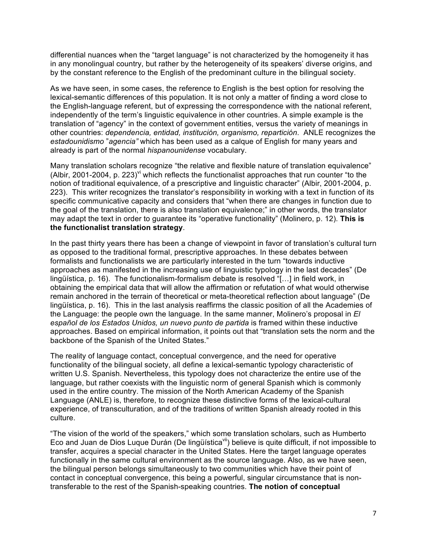differential nuances when the "target language" is not characterized by the homogeneity it has in any monolingual country, but rather by the heterogeneity of its speakers' diverse origins, and by the constant reference to the English of the predominant culture in the bilingual society.

As we have seen, in some cases, the reference to English is the best option for resolving the lexical-semantic differences of this population. It is not only a matter of finding a word close to the English-language referent, but of expressing the correspondence with the national referent, independently of the term's linguistic equivalence in other countries. A simple example is the translation of "agency" in the context of government entities, versus the variety of meanings in other countries: *dependencia, entidad, institución, organismo, repartición*. ANLE recognizes the *estadounidismo* "*agencia"* which has been used as a calque of English for many years and already is part of the normal *hispanounidense* vocabulary.

Many translation scholars recognize "the relative and flexible nature of translation equivalence" (Albir, 2001-2004, p. 223)<sup>vi</sup> which reflects the functionalist approaches that run counter "to the notion of traditional equivalence, of a prescriptive and linguistic character" (Albir, 2001-2004, p. 223). This writer recognizes the translator's responsibility in working with a text in function of its specific communicative capacity and considers that "when there are changes in function due to the goal of the translation, there is also translation equivalence;" in other words, the translator may adapt the text in order to guarantee its "operative functionality" (Molinero, p. 12). **This is the functionalist translation strategy**.

In the past thirty years there has been a change of viewpoint in favor of translation's cultural turn as opposed to the traditional formal, prescriptive approaches. In these debates between formalists and functionalists we are particularly interested in the turn "towards inductive approaches as manifested in the increasing use of linguistic typology in the last decades" (De lingüística, p. 16). The functionalism-formalism debate is resolved "[…] in field work, in obtaining the empirical data that will allow the affirmation or refutation of what would otherwise remain anchored in the terrain of theoretical or meta-theoretical reflection about language" (De lingüística, p. 16). This in the last analysis reaffirms the classic position of all the Academies of the Language: the people own the language. In the same manner, Molinero's proposal in *El español de los Estados Unidos, un nuevo punto de partida* is framed within these inductive approaches. Based on empirical information, it points out that "translation sets the norm and the backbone of the Spanish of the United States."

The reality of language contact, conceptual convergence, and the need for operative functionality of the bilingual society, all define a lexical-semantic typology characteristic of written U.S. Spanish. Nevertheless, this typology does not characterize the entire use of the language, but rather coexists with the linguistic norm of general Spanish which is commonly used in the entire country. The mission of the North American Academy of the Spanish Language (ANLE) is, therefore, to recognize these distinctive forms of the lexical-cultural experience, of transculturation, and of the traditions of written Spanish already rooted in this culture.

"The vision of the world of the speakers," which some translation scholars, such as Humberto Eco and Juan de Dios Luque Durán (De lingüística $\sin$ ) believe is quite difficult, if not impossible to transfer, acquires a special character in the United States. Here the target language operates functionally in the same cultural environment as the source language. Also, as we have seen, the bilingual person belongs simultaneously to two communities which have their point of contact in conceptual convergence, this being a powerful, singular circumstance that is nontransferable to the rest of the Spanish-speaking countries. **The notion of conceptual**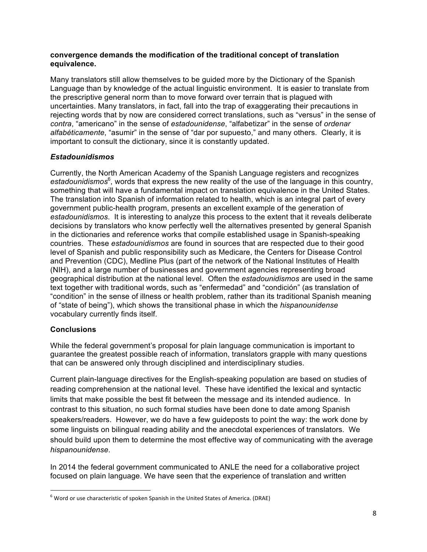#### **convergence demands the modification of the traditional concept of translation equivalence.**

Many translators still allow themselves to be guided more by the Dictionary of the Spanish Language than by knowledge of the actual linguistic environment. It is easier to translate from the prescriptive general norm than to move forward over terrain that is plagued with uncertainties. Many translators, in fact, fall into the trap of exaggerating their precautions in rejecting words that by now are considered correct translations, such as "versus" in the sense of *contra*, "americano" in the sense of *estadounidense*, "alfabetizar" in the sense of *ordenar alfabéticamente*, "asumir" in the sense of "dar por supuesto," and many others. Clearly, it is important to consult the dictionary, since it is constantly updated.

# *Estadounidismos*

Currently, the North American Academy of the Spanish Language registers and recognizes estadounidismos<sup>6</sup>, words that express the new reality of the use of the language in this country, something that will have a fundamental impact on translation equivalence in the United States. The translation into Spanish of information related to health, which is an integral part of every government public-health program, presents an excellent example of the generation of *estadounidismos*. It is interesting to analyze this process to the extent that it reveals deliberate decisions by translators who know perfectly well the alternatives presented by general Spanish in the dictionaries and reference works that compile established usage in Spanish-speaking countries. These *estadounidismos* are found in sources that are respected due to their good level of Spanish and public responsibility such as Medicare, the Centers for Disease Control and Prevention (CDC), Medline Plus (part of the network of the National Institutes of Health (NIH), and a large number of businesses and government agencies representing broad geographical distribution at the national level. Often the *estadounidismos* are used in the same text together with traditional words, such as "enfermedad" and "condición" (as translation of "condition" in the sense of illness or health problem, rather than its traditional Spanish meaning of "state of being"), which shows the transitional phase in which the *hispanounidense* vocabulary currently finds itself.

# **Conclusions**

While the federal government's proposal for plain language communication is important to guarantee the greatest possible reach of information, translators grapple with many questions that can be answered only through disciplined and interdisciplinary studies.

Current plain-language directives for the English-speaking population are based on studies of reading comprehension at the national level. These have identified the lexical and syntactic limits that make possible the best fit between the message and its intended audience. In contrast to this situation, no such formal studies have been done to date among Spanish speakers/readers. However, we do have a few guideposts to point the way: the work done by some linguists on bilingual reading ability and the anecdotal experiences of translators. We should build upon them to determine the most effective way of communicating with the average *hispanounidense*.

In 2014 the federal government communicated to ANLE the need for a collaborative project focused on plain language. We have seen that the experience of translation and written

 $^6$  Word or use characteristic of spoken Spanish in the United States of America. (DRAE)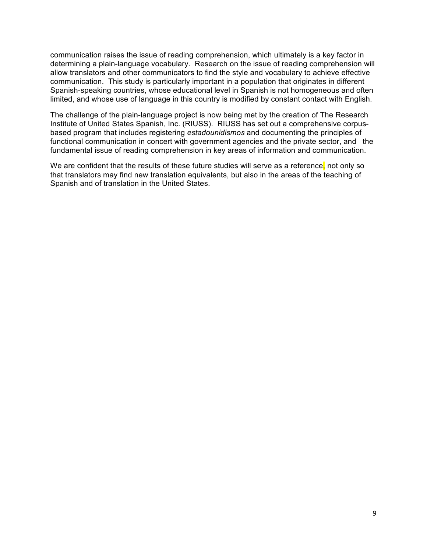communication raises the issue of reading comprehension, which ultimately is a key factor in determining a plain-language vocabulary. Research on the issue of reading comprehension will allow translators and other communicators to find the style and vocabulary to achieve effective communication. This study is particularly important in a population that originates in different Spanish-speaking countries, whose educational level in Spanish is not homogeneous and often limited, and whose use of language in this country is modified by constant contact with English.

The challenge of the plain-language project is now being met by the creation of The Research Institute of United States Spanish, Inc. (RIUSS). RIUSS has set out a comprehensive corpusbased program that includes registering *estadounidismos* and documenting the principles of functional communication in concert with government agencies and the private sector, and the fundamental issue of reading comprehension in key areas of information and communication.

We are confident that the results of these future studies will serve as a reference, not only so that translators may find new translation equivalents, but also in the areas of the teaching of Spanish and of translation in the United States.